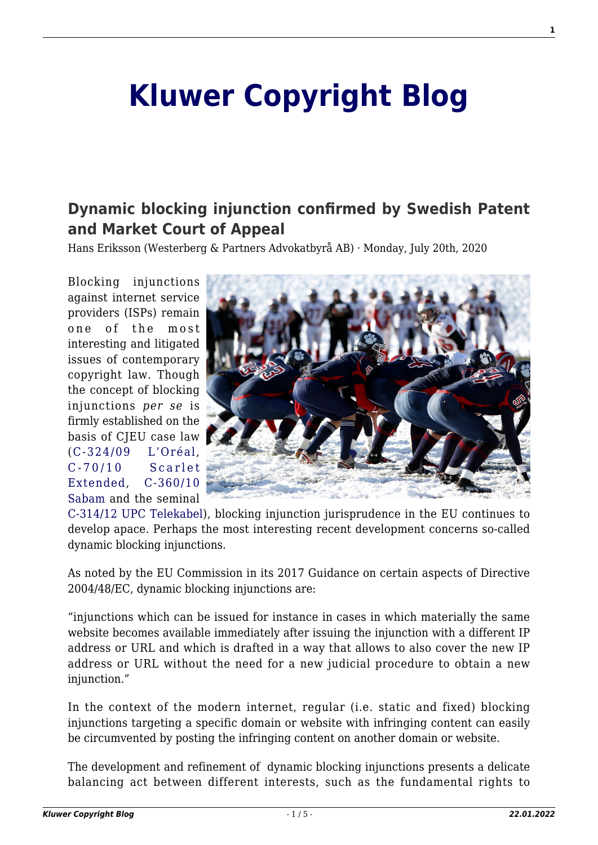# **[Kluwer Copyright Blog](http://copyrightblog.kluweriplaw.com/)**

# **[Dynamic blocking injunction confirmed by Swedish Patent](http://copyrightblog.kluweriplaw.com/2020/07/20/dynamic-blocking-injunction-confirmed-by-swedish-patent-and-market-court-of-appeal/) [and Market Court of Appeal](http://copyrightblog.kluweriplaw.com/2020/07/20/dynamic-blocking-injunction-confirmed-by-swedish-patent-and-market-court-of-appeal/)**

Hans Eriksson (Westerberg & Partners Advokatbyrå AB) · Monday, July 20th, 2020

Blocking injunctions against internet service providers (ISPs) remain one of the most interesting and litigated issues of contemporary copyright law. Though the concept of blocking injunctions *per se* is firmly established on the basis of CJEU case law ([C‑324/09 L'Oréal](http://curia.europa.eu/juris/liste.jsf?num=C-324/09), [C-70/10 Scarlet](http://curia.europa.eu/juris/liste.jsf?language=en&num=C-70/10) [Extended](http://curia.europa.eu/juris/liste.jsf?language=en&num=C-70/10), [C-360/10](http://curia.europa.eu/juris/liste.jsf?num=C-360/10&language=en) [Sabam](http://curia.europa.eu/juris/liste.jsf?num=C-360/10&language=en) and the seminal



[C-314/12 UPC Telekabel](http://curia.europa.eu/juris/liste.jsf?num=C-314/12&language=en)), blocking injunction jurisprudence in the EU continues to develop apace. Perhaps the most interesting recent development concerns so-called dynamic blocking injunctions.

As noted by the EU Commission in its 2017 Guidance on certain aspects of Directive 2004/48/EC, dynamic blocking injunctions are:

"injunctions which can be issued for instance in cases in which materially the same website becomes available immediately after issuing the injunction with a different IP address or URL and which is drafted in a way that allows to also cover the new IP address or URL without the need for a new judicial procedure to obtain a new injunction."

In the context of the modern internet, regular (i.e. static and fixed) blocking injunctions targeting a specific domain or website with infringing content can easily be circumvented by posting the infringing content on another domain or website.

The development and refinement of dynamic blocking injunctions presents a delicate balancing act between different interests, such as the fundamental rights to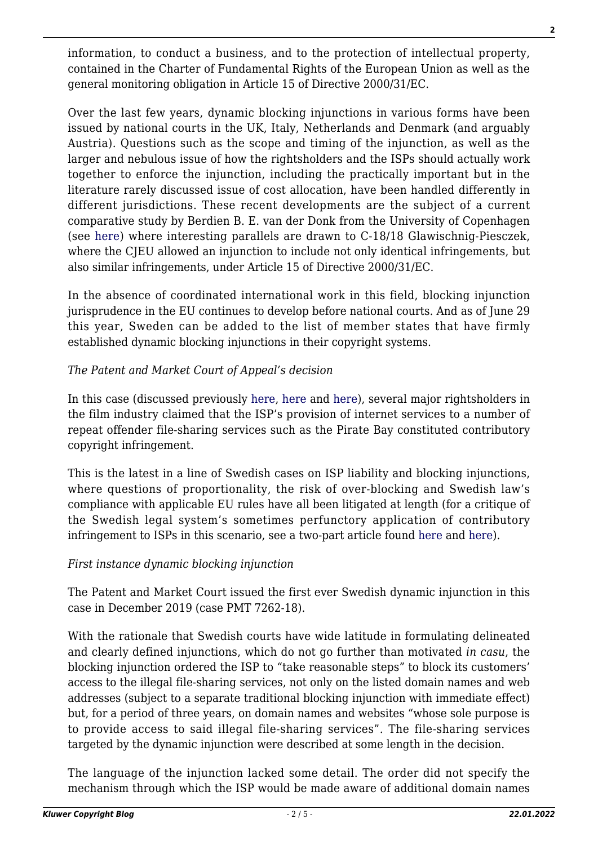information, to conduct a business, and to the protection of intellectual property, contained in the Charter of Fundamental Rights of the European Union as well as the general monitoring obligation in Article 15 of Directive 2000/31/EC.

Over the last few years, dynamic blocking injunctions in various forms have been issued by national courts in the UK, Italy, Netherlands and Denmark (and arguably Austria). Questions such as the scope and timing of the injunction, as well as the larger and nebulous issue of how the rightsholders and the ISPs should actually work together to enforce the injunction, including the practically important but in the literature rarely discussed issue of cost allocation, have been handled differently in different jurisdictions. These recent developments are the subject of a current comparative study by Berdien B. E. van der Donk from the University of Copenhagen (see [here](https://academic.oup.com/jiplp/article/doi/10.1093/jiplp/jpaa071/5835401)) where interesting parallels are drawn to C-18/18 Glawischnig-Piesczek, where the CJEU allowed an injunction to include not only identical infringements, but also similar infringements, under Article 15 of Directive 2000/31/EC.

In the absence of coordinated international work in this field, blocking injunction jurisprudence in the EU continues to develop before national courts. And as of June 29 this year, Sweden can be added to the list of member states that have firmly established dynamic blocking injunctions in their copyright systems.

## *The Patent and Market Court of Appeal's decision*

In this case (discussed previously [here](http://ipkitten.blogspot.com/2018/10/swedish-court-orders-isp-to-block.html), [here](http://ipkitten.blogspot.com/2020/01/the-swedish-patent-and-market-court.html) and [here](http://copyrightblog.kluweriplaw.com/2019/02/25/swedish-patent-and-market-court-goes-back-to-basics-on-blocking-injunctions/?doing_wp_cron=1593693317.1172039508819580078125)), several major rightsholders in the film industry claimed that the ISP's provision of internet services to a number of repeat offender file-sharing services such as the Pirate Bay constituted contributory copyright infringement.

This is the latest in a line of Swedish cases on ISP liability and blocking injunctions, where questions of proportionality, the risk of over-blocking and Swedish law's compliance with applicable EU rules have all been litigated at length (for a critique of the Swedish legal system's sometimes perfunctory application of contributory infringement to ISPs in this scenario, see a two-part article found [here](http://copyrightblog.kluweriplaw.com/2018/11/22/blocking-injunctions-against-isps-in-sweden-2-0-beta-the-rise-of-the-interim-injunction-part-1/?doing_wp_cron=1593701375.8824648857116699218750) and [here\)](http://copyrightblog.kluweriplaw.com/2018/11/26/blocking-injunctions-against-isps-in-sweden-2-0-beta-the-rise-of-the-interim-injunction-part-2/?doing_wp_cron=1593701405.4816980361938476562500).

#### *First instance dynamic blocking injunction*

The Patent and Market Court issued the first ever Swedish dynamic injunction in this case in December 2019 (case PMT 7262-18).

With the rationale that Swedish courts have wide latitude in formulating delineated and clearly defined injunctions, which do not go further than motivated *in casu*, the blocking injunction ordered the ISP to "take reasonable steps" to block its customers' access to the illegal file-sharing services, not only on the listed domain names and web addresses (subject to a separate traditional blocking injunction with immediate effect) but, for a period of three years, on domain names and websites "whose sole purpose is to provide access to said illegal file-sharing services". The file-sharing services targeted by the dynamic injunction were described at some length in the decision.

The language of the injunction lacked some detail. The order did not specify the mechanism through which the ISP would be made aware of additional domain names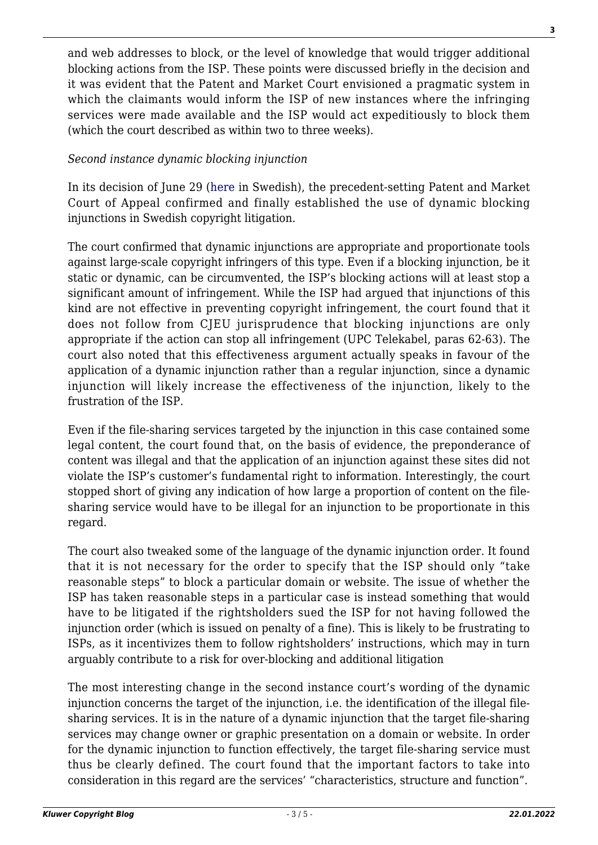and web addresses to block, or the level of knowledge that would trigger additional blocking actions from the ISP. These points were discussed briefly in the decision and it was evident that the Patent and Market Court envisioned a pragmatic system in which the claimants would inform the ISP of new instances where the infringing services were made available and the ISP would act expeditiously to block them (which the court described as within two to three weeks).

## *Second instance dynamic blocking injunction*

In its decision of June 29 ([here](https://www.domstol.se/globalassets/filer/domstol/patentochmarknadsoverdomstolen/avgoranden/2020/pmt-13399-19.pdf) in Swedish), the precedent-setting Patent and Market Court of Appeal confirmed and finally established the use of dynamic blocking injunctions in Swedish copyright litigation.

The court confirmed that dynamic injunctions are appropriate and proportionate tools against large-scale copyright infringers of this type. Even if a blocking injunction, be it static or dynamic, can be circumvented, the ISP's blocking actions will at least stop a significant amount of infringement. While the ISP had argued that injunctions of this kind are not effective in preventing copyright infringement, the court found that it does not follow from CJEU jurisprudence that blocking injunctions are only appropriate if the action can stop all infringement (UPC Telekabel, paras 62-63). The court also noted that this effectiveness argument actually speaks in favour of the application of a dynamic injunction rather than a regular injunction, since a dynamic injunction will likely increase the effectiveness of the injunction, likely to the frustration of the ISP.

Even if the file-sharing services targeted by the injunction in this case contained some legal content, the court found that, on the basis of evidence, the preponderance of content was illegal and that the application of an injunction against these sites did not violate the ISP's customer's fundamental right to information. Interestingly, the court stopped short of giving any indication of how large a proportion of content on the filesharing service would have to be illegal for an injunction to be proportionate in this regard.

The court also tweaked some of the language of the dynamic injunction order. It found that it is not necessary for the order to specify that the ISP should only "take reasonable steps" to block a particular domain or website. The issue of whether the ISP has taken reasonable steps in a particular case is instead something that would have to be litigated if the rightsholders sued the ISP for not having followed the injunction order (which is issued on penalty of a fine). This is likely to be frustrating to ISPs, as it incentivizes them to follow rightsholders' instructions, which may in turn arguably contribute to a risk for over-blocking and additional litigation

The most interesting change in the second instance court's wording of the dynamic injunction concerns the target of the injunction, i.e. the identification of the illegal filesharing services. It is in the nature of a dynamic injunction that the target file-sharing services may change owner or graphic presentation on a domain or website. In order for the dynamic injunction to function effectively, the target file-sharing service must thus be clearly defined. The court found that the important factors to take into consideration in this regard are the services' "characteristics, structure and function".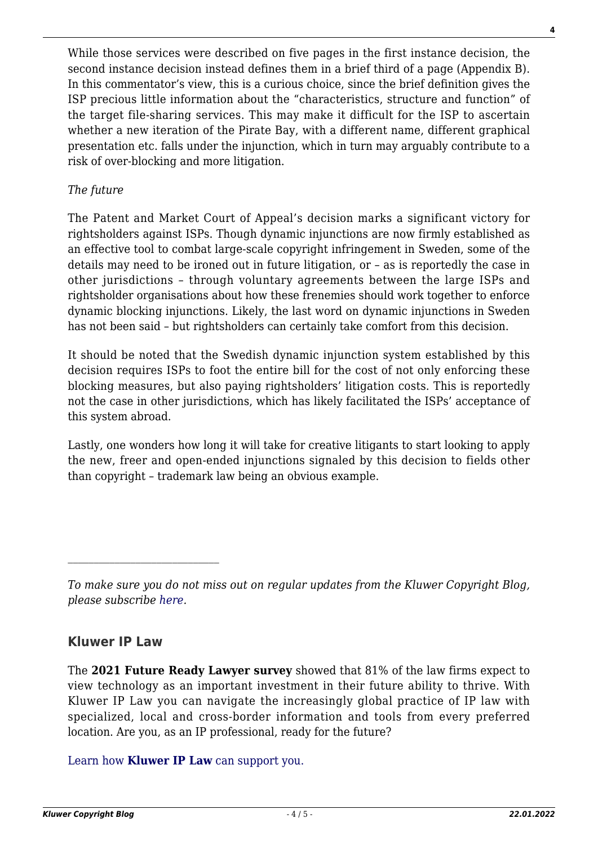While those services were described on five pages in the first instance decision, the second instance decision instead defines them in a brief third of a page (Appendix B). In this commentator's view, this is a curious choice, since the brief definition gives the ISP precious little information about the "characteristics, structure and function" of the target file-sharing services. This may make it difficult for the ISP to ascertain whether a new iteration of the Pirate Bay, with a different name, different graphical presentation etc. falls under the injunction, which in turn may arguably contribute to a risk of over-blocking and more litigation.

# *The future*

The Patent and Market Court of Appeal's decision marks a significant victory for rightsholders against ISPs. Though dynamic injunctions are now firmly established as an effective tool to combat large-scale copyright infringement in Sweden, some of the details may need to be ironed out in future litigation, or – as is reportedly the case in other jurisdictions – through voluntary agreements between the large ISPs and rightsholder organisations about how these frenemies should work together to enforce dynamic blocking injunctions. Likely, the last word on dynamic injunctions in Sweden has not been said – but rightsholders can certainly take comfort from this decision.

It should be noted that the Swedish dynamic injunction system established by this decision requires ISPs to foot the entire bill for the cost of not only enforcing these blocking measures, but also paying rightsholders' litigation costs. This is reportedly not the case in other jurisdictions, which has likely facilitated the ISPs' acceptance of this system abroad.

Lastly, one wonders how long it will take for creative litigants to start looking to apply the new, freer and open-ended injunctions signaled by this decision to fields other than copyright – trademark law being an obvious example.

# **Kluwer IP Law**

The **2021 Future Ready Lawyer survey** showed that 81% of the law firms expect to view technology as an important investment in their future ability to thrive. With Kluwer IP Law you can navigate the increasingly global practice of IP law with specialized, local and cross-border information and tools from every preferred location. Are you, as an IP professional, ready for the future?

[Learn how](https://www.wolterskluwer.com/en/solutions/kluweriplaw?utm_source=copyrightnblog&utm_medium=articleCTA&utm_campaign=article-banner) **[Kluwer IP Law](https://www.wolterskluwer.com/en/solutions/kluweriplaw?utm_source=copyrightnblog&utm_medium=articleCTA&utm_campaign=article-banner)** [can support you.](https://www.wolterskluwer.com/en/solutions/kluweriplaw?utm_source=copyrightnblog&utm_medium=articleCTA&utm_campaign=article-banner)

*To make sure you do not miss out on regular updates from the Kluwer Copyright Blog, please subscribe [here.](http://copyrightblog.kluweriplaw.com/newsletter)*